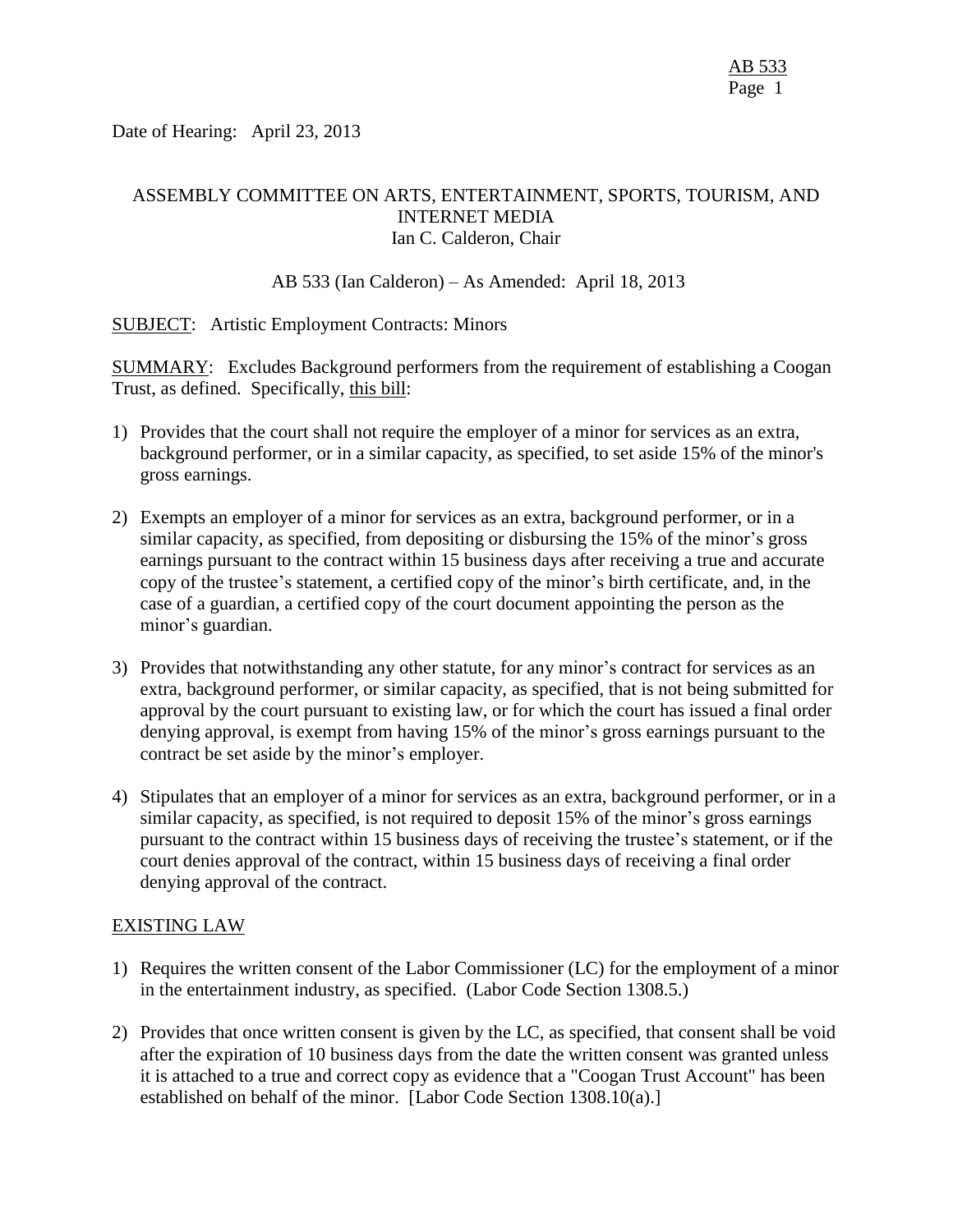Date of Hearing: April 23, 2013

### ASSEMBLY COMMITTEE ON ARTS, ENTERTAINMENT, SPORTS, TOURISM, AND INTERNET MEDIA Ian C. Calderon, Chair

### AB 533 (Ian Calderon) – As Amended: April 18, 2013

SUBJECT: Artistic Employment Contracts: Minors

SUMMARY: Excludes Background performers from the requirement of establishing a Coogan Trust, as defined. Specifically, this bill:

- 1) Provides that the court shall not require the employer of a minor for services as an extra, background performer, or in a similar capacity, as specified, to set aside 15% of the minor's gross earnings.
- 2) Exempts an employer of a minor for services as an extra, background performer, or in a similar capacity, as specified, from depositing or disbursing the 15% of the minor's gross earnings pursuant to the contract within 15 business days after receiving a true and accurate copy of the trustee's statement, a certified copy of the minor's birth certificate, and, in the case of a guardian, a certified copy of the court document appointing the person as the minor's guardian.
- 3) Provides that notwithstanding any other statute, for any minor's contract for services as an extra, background performer, or similar capacity, as specified, that is not being submitted for approval by the court pursuant to existing law, or for which the court has issued a final order denying approval, is exempt from having 15% of the minor's gross earnings pursuant to the contract be set aside by the minor's employer.
- 4) Stipulates that an employer of a minor for services as an extra, background performer, or in a similar capacity, as specified, is not required to deposit 15% of the minor's gross earnings pursuant to the contract within 15 business days of receiving the trustee's statement, or if the court denies approval of the contract, within 15 business days of receiving a final order denying approval of the contract.

#### EXISTING LAW

- 1) Requires the written consent of the Labor Commissioner (LC) for the employment of a minor in the entertainment industry, as specified. (Labor Code Section 1308.5.)
- 2) Provides that once written consent is given by the LC, as specified, that consent shall be void after the expiration of 10 business days from the date the written consent was granted unless it is attached to a true and correct copy as evidence that a "Coogan Trust Account" has been established on behalf of the minor. [Labor Code Section 1308.10(a).]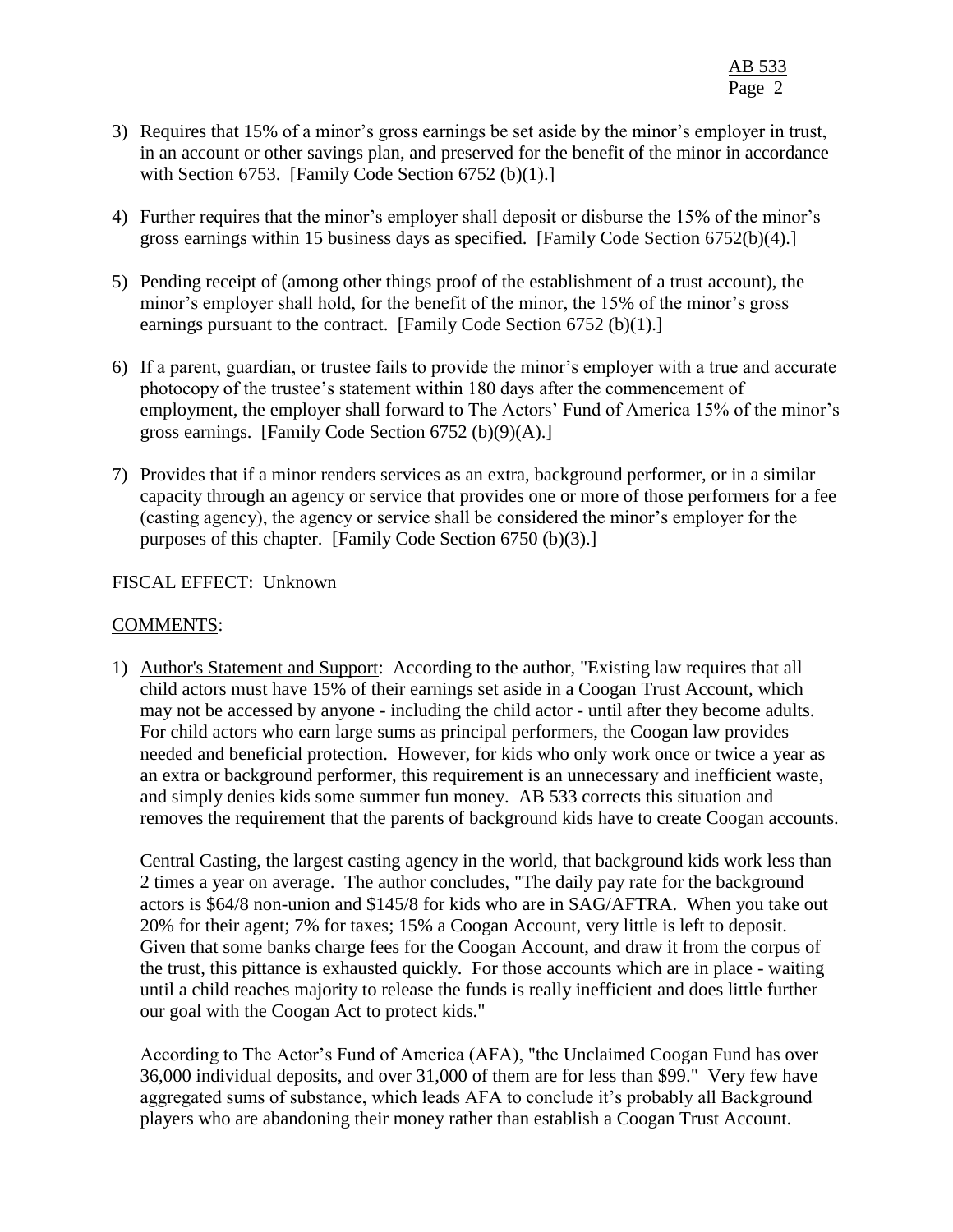- 3) Requires that 15% of a minor's gross earnings be set aside by the minor's employer in trust, in an account or other savings plan, and preserved for the benefit of the minor in accordance with Section 6753. [Family Code Section 6752 (b) $(1)$ .]
- 4) Further requires that the minor's employer shall deposit or disburse the 15% of the minor's gross earnings within 15 business days as specified. [Family Code Section 6752(b)(4).]
- 5) Pending receipt of (among other things proof of the establishment of a trust account), the minor's employer shall hold, for the benefit of the minor, the 15% of the minor's gross earnings pursuant to the contract. [Family Code Section 6752 (b)(1).]
- 6) If a parent, guardian, or trustee fails to provide the minor's employer with a true and accurate photocopy of the trustee's statement within 180 days after the commencement of employment, the employer shall forward to The Actors' Fund of America 15% of the minor's gross earnings. [Family Code Section 6752 (b)(9)(A).]
- 7) Provides that if a minor renders services as an extra, background performer, or in a similar capacity through an agency or service that provides one or more of those performers for a fee (casting agency), the agency or service shall be considered the minor's employer for the purposes of this chapter. [Family Code Section 6750 (b)(3).]

# FISCAL EFFECT: Unknown

# COMMENTS:

1) Author's Statement and Support: According to the author, "Existing law requires that all child actors must have 15% of their earnings set aside in a Coogan Trust Account, which may not be accessed by anyone - including the child actor - until after they become adults. For child actors who earn large sums as principal performers, the Coogan law provides needed and beneficial protection. However, for kids who only work once or twice a year as an extra or background performer, this requirement is an unnecessary and inefficient waste, and simply denies kids some summer fun money. AB 533 corrects this situation and removes the requirement that the parents of background kids have to create Coogan accounts.

Central Casting, the largest casting agency in the world, that background kids work less than 2 times a year on average. The author concludes, "The daily pay rate for the background actors is \$64/8 non-union and \$145/8 for kids who are in SAG/AFTRA. When you take out 20% for their agent; 7% for taxes; 15% a Coogan Account, very little is left to deposit. Given that some banks charge fees for the Coogan Account, and draw it from the corpus of the trust, this pittance is exhausted quickly. For those accounts which are in place - waiting until a child reaches majority to release the funds is really inefficient and does little further our goal with the Coogan Act to protect kids."

According to The Actor's Fund of America (AFA), "the Unclaimed Coogan Fund has over 36,000 individual deposits, and over 31,000 of them are for less than \$99." Very few have aggregated sums of substance, which leads AFA to conclude it's probably all Background players who are abandoning their money rather than establish a Coogan Trust Account.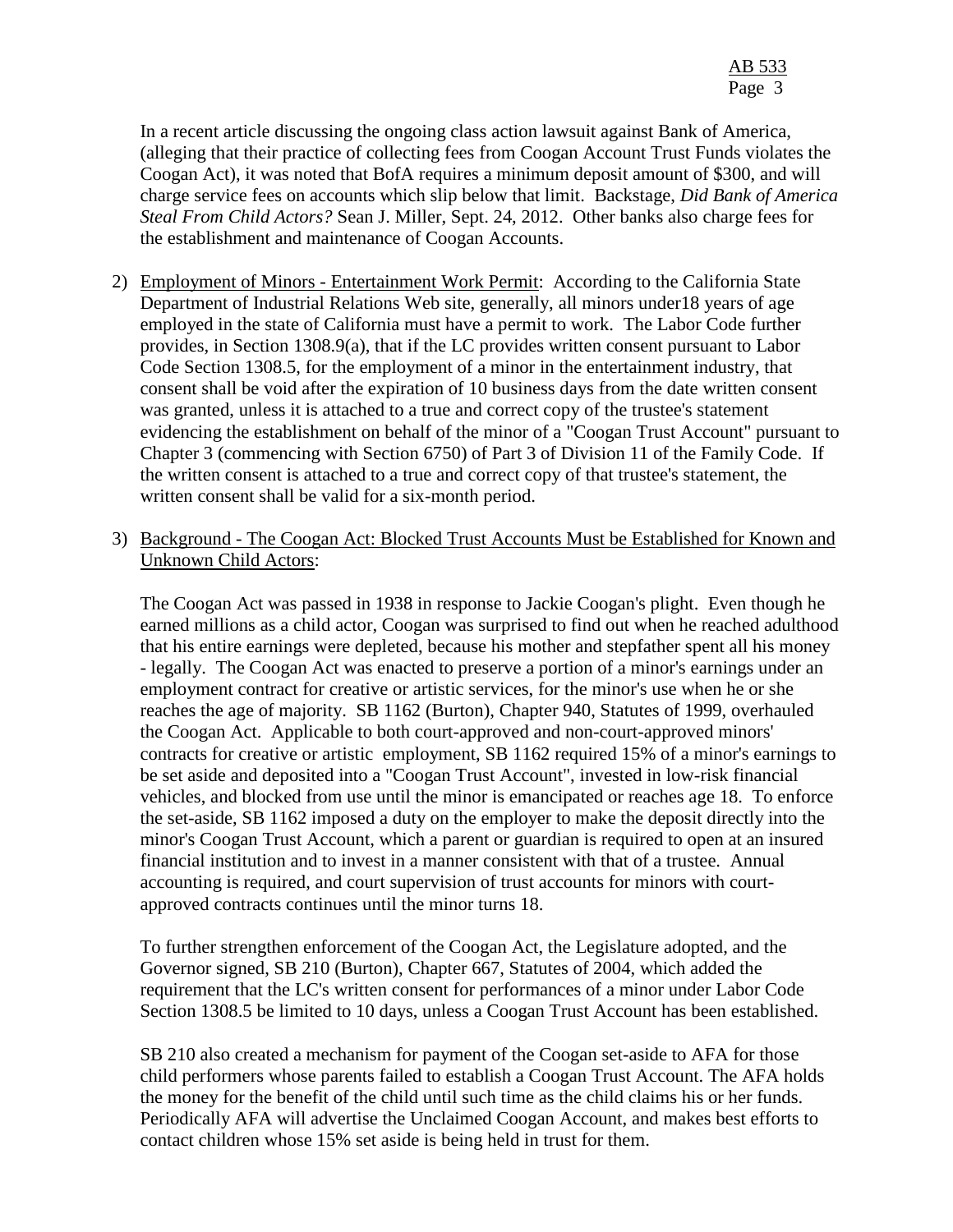In a recent article discussing the ongoing class action lawsuit against Bank of America, (alleging that their practice of collecting fees from Coogan Account Trust Funds violates the Coogan Act), it was noted that BofA requires a minimum deposit amount of \$300, and will charge service fees on accounts which slip below that limit. Backstage, *Did Bank of America Steal From Child Actors?* Sean J. Miller, Sept. 24, 2012. Other banks also charge fees for the establishment and maintenance of Coogan Accounts.

- 2) Employment of Minors Entertainment Work Permit: According to the California State Department of Industrial Relations Web site, generally, all minors under18 years of age employed in the state of California must have a permit to work. The Labor Code further provides, in Section 1308.9(a), that if the LC provides written consent pursuant to Labor Code Section 1308.5, for the employment of a minor in the entertainment industry, that consent shall be void after the expiration of 10 business days from the date written consent was granted, unless it is attached to a true and correct copy of the trustee's statement evidencing the establishment on behalf of the minor of a "Coogan Trust Account" pursuant to Chapter 3 (commencing with Section 6750) of Part 3 of Division 11 of the Family Code. If the written consent is attached to a true and correct copy of that trustee's statement, the written consent shall be valid for a six-month period.
- 3) Background The Coogan Act: Blocked Trust Accounts Must be Established for Known and Unknown Child Actors:

The Coogan Act was passed in 1938 in response to Jackie Coogan's plight. Even though he earned millions as a child actor, Coogan was surprised to find out when he reached adulthood that his entire earnings were depleted, because his mother and stepfather spent all his money - legally. The Coogan Act was enacted to preserve a portion of a minor's earnings under an employment contract for creative or artistic services, for the minor's use when he or she reaches the age of majority. SB 1162 (Burton), Chapter 940, Statutes of 1999, overhauled the Coogan Act. Applicable to both court-approved and non-court-approved minors' contracts for creative or artistic employment, SB 1162 required 15% of a minor's earnings to be set aside and deposited into a "Coogan Trust Account", invested in low-risk financial vehicles, and blocked from use until the minor is emancipated or reaches age 18. To enforce the set-aside, SB 1162 imposed a duty on the employer to make the deposit directly into the minor's Coogan Trust Account, which a parent or guardian is required to open at an insured financial institution and to invest in a manner consistent with that of a trustee. Annual accounting is required, and court supervision of trust accounts for minors with courtapproved contracts continues until the minor turns 18.

To further strengthen enforcement of the Coogan Act, the Legislature adopted, and the Governor signed, SB 210 (Burton), Chapter 667, Statutes of 2004, which added the requirement that the LC's written consent for performances of a minor under Labor Code Section 1308.5 be limited to 10 days, unless a Coogan Trust Account has been established.

SB 210 also created a mechanism for payment of the Coogan set-aside to AFA for those child performers whose parents failed to establish a Coogan Trust Account. The AFA holds the money for the benefit of the child until such time as the child claims his or her funds. Periodically AFA will advertise the Unclaimed Coogan Account, and makes best efforts to contact children whose 15% set aside is being held in trust for them.